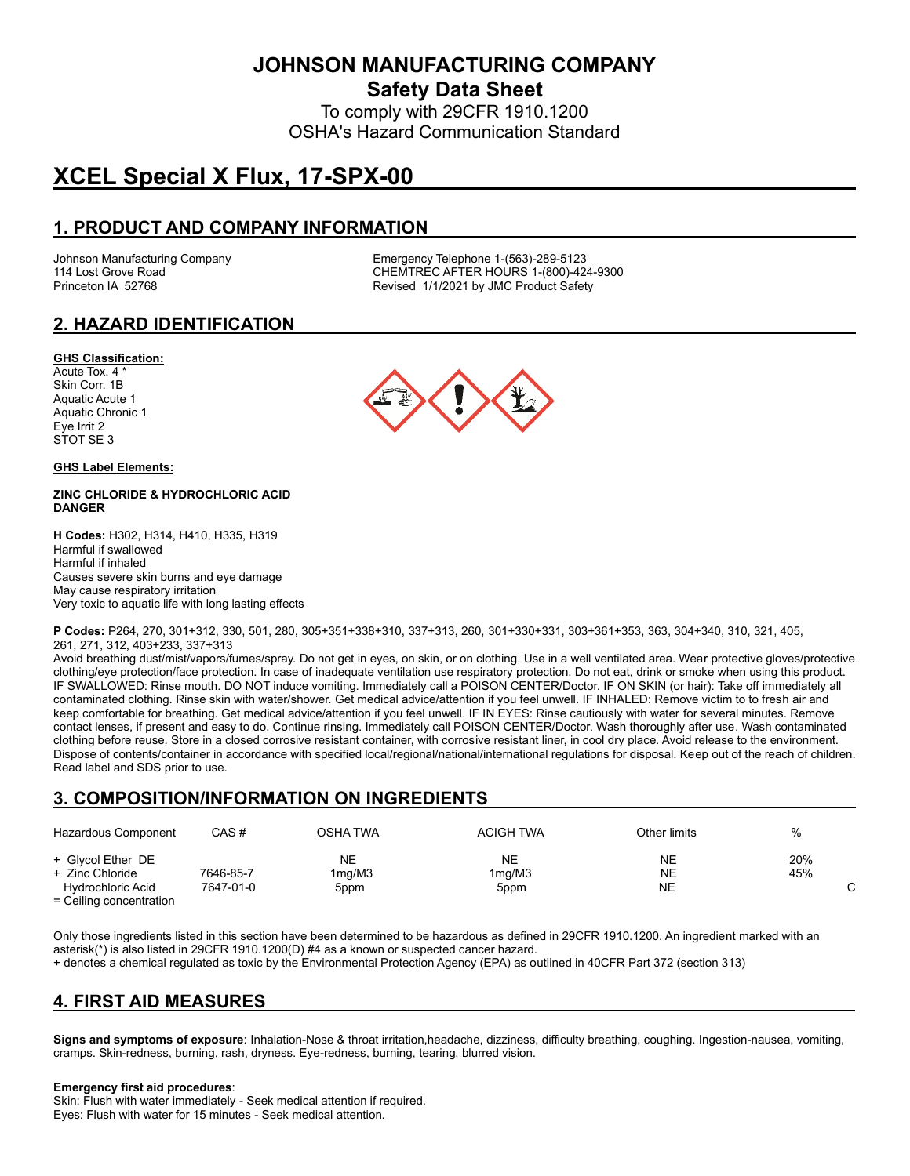**JOHNSON MANUFACTURING COMPANY**

**Safety Data Sheet**

To comply with 29CFR 1910.1200 OSHA's Hazard Communication Standard

# **XCEL Special X Flux, 17-SPX-00**

# **1. PRODUCT AND COMPANY INFORMATION**

Johnson Manufacturing Company Emergency Telephone 1-(563)-289-5123 114 Lost Grove Road Theory Chemister Chemister Chemister Chemister Chemister Chemister Chemister Chemister Chem<br>Chemister Chemister Revised 1/1/2021 by JMC Product Safety Revised 1/1/2021 by JMC Product Safety

# **2. HAZARD IDENTIFICATION**

#### **GHS Classification:**

Acute Tox. 4 \* Skin Corr. 1B Aquatic Acute 1 Aquatic Chronic 1 Eye Irrit 2 STOT SE 3

#### **GHS Label Elements:**

#### **ZINC CHLORIDE & HYDROCHLORIC ACID DANGER**

**H Codes:** H302, H314, H410, H335, H319 Harmful if swallowed Harmful if inhaled Causes severe skin burns and eye damage May cause respiratory irritation Very toxic to aquatic life with long lasting effects



**P Codes:** P264, 270, 301+312, 330, 501, 280, 305+351+338+310, 337+313, 260, 301+330+331, 303+361+353, 363, 304+340, 310, 321, 405, 261, 271, 312, 403+233, 337+313

Avoid breathing dust/mist/vapors/fumes/spray. Do not get in eyes, on skin, or on clothing. Use in a well ventilated area. Wear protective gloves/protective clothing/eye protection/face protection. In case of inadequate ventilation use respiratory protection. Do not eat, drink or smoke when using this product. IF SWALLOWED: Rinse mouth. DO NOT induce vomiting. Immediately call a POISON CENTER/Doctor. IF ON SKIN (or hair): Take off immediately all contaminated clothing. Rinse skin with water/shower. Get medical advice/attention if you feel unwell. IF INHALED: Remove victim to to fresh air and keep comfortable for breathing. Get medical advice/attention if you feel unwell. IF IN EYES: Rinse cautiously with water for several minutes. Remove contact lenses, if present and easy to do. Continue rinsing. Immediately call POISON CENTER/Doctor. Wash thoroughly after use. Wash contaminated clothing before reuse. Store in a closed corrosive resistant container, with corrosive resistant liner, in cool dry place. Avoid release to the environment. Dispose of contents/container in accordance with specified local/regional/national/international regulations for disposal. Keep out of the reach of children. Read label and SDS prior to use.

### **3. COMPOSITION/INFORMATION ON INGREDIENTS**

| Hazardous Component                                                                                                                                              | CAS #     | OSHA TWA     | <b>ACIGH TWA</b>          | Other limits | %          |
|------------------------------------------------------------------------------------------------------------------------------------------------------------------|-----------|--------------|---------------------------|--------------|------------|
| + Glycol Ether DE<br>+ Zinc Chloride                                                                                                                             | 7646-85-7 | NΕ<br>1mg/M3 | NΕ<br>1 <sub>mq</sub> /M3 | NΕ<br>NΕ     | 20%<br>45% |
| Hydrochloric Acid<br>$\Gamma = \bigcap_{n=1}^{\infty} \Gamma(n)$ and $\Gamma = \bigcap_{n=1}^{\infty} \Gamma(n)$ and $\Gamma = \bigcap_{n=1}^{\infty} \Gamma(n)$ | 7647-01-0 | 5ppm         | 5ppm                      | NΕ           |            |

= Ceiling concentration

Only those ingredients listed in this section have been determined to be hazardous as defined in 29CFR 1910.1200. An ingredient marked with an asterisk(\*) is also listed in 29CFR 1910.1200(D) #4 as a known or suspected cancer hazard.

+ denotes a chemical regulated as toxic by the Environmental Protection Agency (EPA) as outlined in 40CFR Part 372 (section 313)

### **4. FIRST AID MEASURES**

**Signs and symptoms of exposure**: Inhalation-Nose & throat irritation,headache, dizziness, difficulty breathing, coughing. Ingestion-nausea, vomiting, cramps. Skin-redness, burning, rash, dryness. Eye-redness, burning, tearing, blurred vision.

#### **Emergency first aid procedures**:

Skin: Flush with water immediately - Seek medical attention if required. Eyes: Flush with water for 15 minutes - Seek medical attention.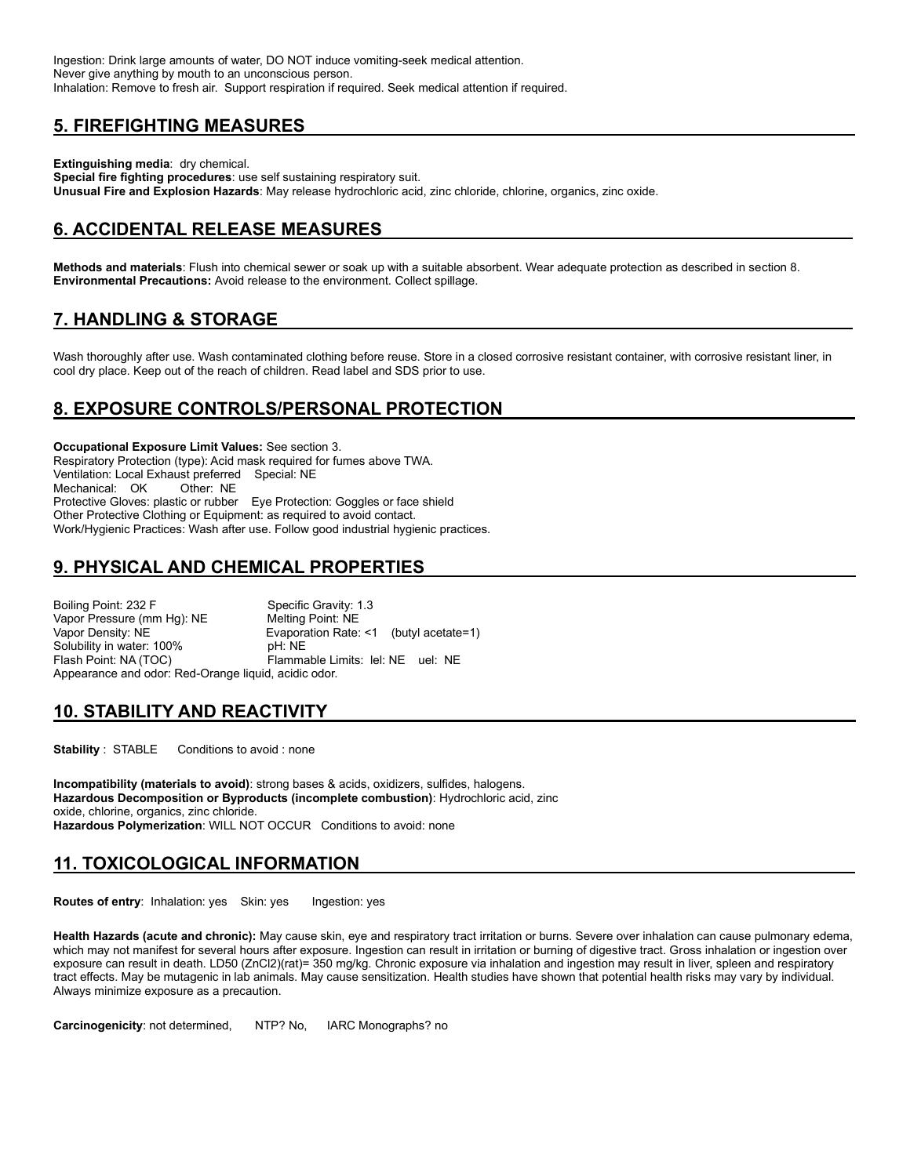Ingestion: Drink large amounts of water, DO NOT induce vomiting-seek medical attention. Never give anything by mouth to an unconscious person. Inhalation: Remove to fresh air. Support respiration if required. Seek medical attention if required.

### **5. FIREFIGHTING MEASURES**

**Extinguishing media**: dry chemical. **Special fire fighting procedures**: use self sustaining respiratory suit. **Unusual Fire and Explosion Hazards**: May release hydrochloric acid, zinc chloride, chlorine, organics, zinc oxide.

# **6. ACCIDENTAL RELEASE MEASURES**

**Methods and materials**: Flush into chemical sewer or soak up with a suitable absorbent. Wear adequate protection as described in section 8. **Environmental Precautions:** Avoid release to the environment. Collect spillage.

# **7. HANDLING & STORAGE**

Wash thoroughly after use. Wash contaminated clothing before reuse. Store in a closed corrosive resistant container, with corrosive resistant liner, in cool dry place. Keep out of the reach of children. Read label and SDS prior to use.

# **8. EXPOSURE CONTROLS/PERSONAL PROTECTION**

**Occupational Exposure Limit Values:** See section 3. Respiratory Protection (type): Acid mask required for fumes above TWA. Ventilation: Local Exhaust preferred Special: NE Mechanical: OK Other: NE Protective Gloves: plastic or rubber Eye Protection: Goggles or face shield Other Protective Clothing or Equipment: as required to avoid contact. Work/Hygienic Practices: Wash after use. Follow good industrial hygienic practices.

# **9. PHYSICAL AND CHEMICAL PROPERTIES**

Boiling Point: 232 F Specific Gravity: 1.3<br>
Vapor Pressure (mm Hg): NE Melting Point: NE Vapor Pressure (mm Hg): NE Vapor Density: NE Evaporation Rate: <1 (butyl acetate=1) Solubility in water: 100% bH: NE<br>
Flash Point: NA (TOC) Flamma Flammable Limits: lel: NE uel: NE Appearance and odor: Red-Orange liquid, acidic odor.

### **10. STABILITY AND REACTIVITY**

**Stability** : STABLE Conditions to avoid : none

**Incompatibility (materials to avoid)**: strong bases & acids, oxidizers, sulfides, halogens. **Hazardous Decomposition or Byproducts (incomplete combustion)**: Hydrochloric acid, zinc oxide, chlorine, organics, zinc chloride. **Hazardous Polymerization**: WILL NOT OCCUR Conditions to avoid: none

### **11. TOXICOLOGICAL INFORMATION**

**Routes of entry:** Inhalation: yes Skin: yes Ingestion: yes

**Health Hazards (acute and chronic):** May cause skin, eye and respiratory tract irritation or burns. Severe over inhalation can cause pulmonary edema, which may not manifest for several hours after exposure. Ingestion can result in irritation or burning of digestive tract. Gross inhalation or ingestion over exposure can result in death. LD50 (ZnCl2)(rat)= 350 mg/kg. Chronic exposure via inhalation and ingestion may result in liver, spleen and respiratory tract effects. May be mutagenic in lab animals. May cause sensitization. Health studies have shown that potential health risks may vary by individual. Always minimize exposure as a precaution.

**Carcinogenicity**: not determined, NTP? No, IARC Monographs? no